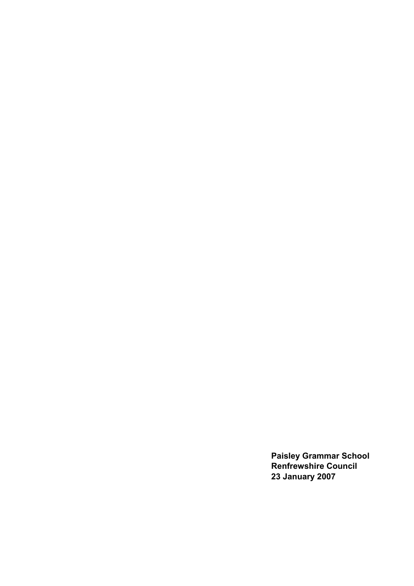**Paisley Grammar School Renfrewshire Council 23 January 2007**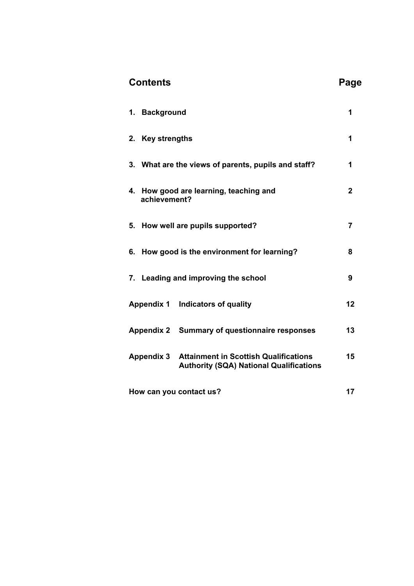| <b>Contents</b>                                                                                                     | Page           |
|---------------------------------------------------------------------------------------------------------------------|----------------|
| 1. Background                                                                                                       | 1              |
| 2. Key strengths                                                                                                    | 1              |
| 3. What are the views of parents, pupils and staff?                                                                 | 1              |
| 4. How good are learning, teaching and<br>achievement?                                                              | $\overline{2}$ |
| 5. How well are pupils supported?                                                                                   | 7              |
| 6. How good is the environment for learning?                                                                        | 8              |
| 7. Leading and improving the school                                                                                 | 9              |
| Appendix 1 Indicators of quality                                                                                    | 12             |
| Appendix 2 Summary of questionnaire responses                                                                       | 13             |
| <b>Attainment in Scottish Qualifications</b><br><b>Appendix 3</b><br><b>Authority (SQA) National Qualifications</b> | 15             |
| How can you contact us?                                                                                             | 17             |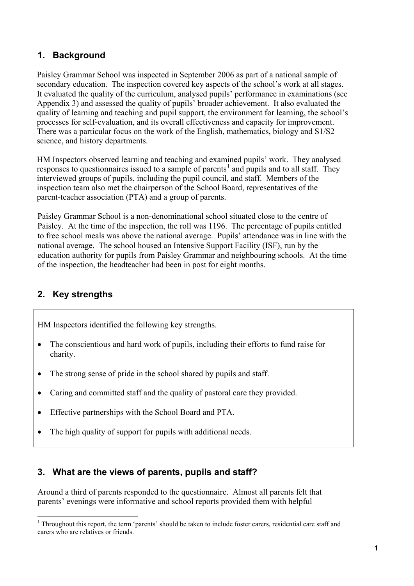# **1. Background**

Paisley Grammar School was inspected in September 2006 as part of a national sample of secondary education. The inspection covered key aspects of the school's work at all stages. It evaluated the quality of the curriculum, analysed pupils' performance in examinations (see Appendix 3) and assessed the quality of pupils' broader achievement. It also evaluated the quality of learning and teaching and pupil support, the environment for learning, the school's processes for self-evaluation, and its overall effectiveness and capacity for improvement. There was a particular focus on the work of the English, mathematics, biology and S1/S2 science, and history departments.

HM Inspectors observed learning and teaching and examined pupils' work. They analysed responses to questionnaires issued to a sample of parents<sup>[1](#page-2-0)</sup> and pupils and to all staff. They interviewed groups of pupils, including the pupil council, and staff. Members of the inspection team also met the chairperson of the School Board, representatives of the parent-teacher association (PTA) and a group of parents.

Paisley Grammar School is a non-denominational school situated close to the centre of Paisley. At the time of the inspection, the roll was 1196. The percentage of pupils entitled to free school meals was above the national average. Pupils' attendance was in line with the national average. The school housed an Intensive Support Facility (ISF), run by the education authority for pupils from Paisley Grammar and neighbouring schools. At the time of the inspection, the headteacher had been in post for eight months.

# **2. Key strengths**

-

HM Inspectors identified the following key strengths.

- The conscientious and hard work of pupils, including their efforts to fund raise for charity.
- The strong sense of pride in the school shared by pupils and staff.
- Caring and committed staff and the quality of pastoral care they provided.
- Effective partnerships with the School Board and PTA.
- The high quality of support for pupils with additional needs.

# **3. What are the views of parents, pupils and staff?**

Around a third of parents responded to the questionnaire. Almost all parents felt that parents' evenings were informative and school reports provided them with helpful

<span id="page-2-0"></span><sup>&</sup>lt;sup>1</sup> Throughout this report, the term 'parents' should be taken to include foster carers, residential care staff and carers who are relatives or friends.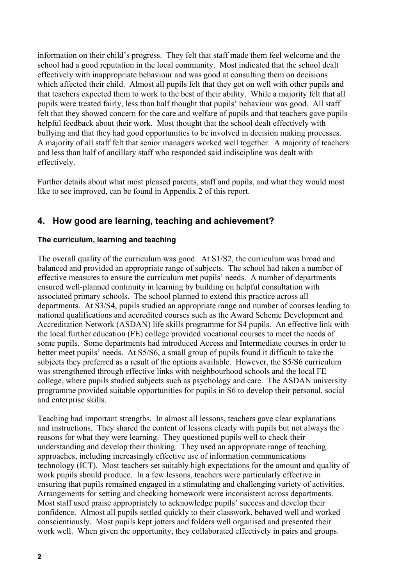information on their child's progress. They felt that staff made them feel welcome and the school had a good reputation in the local community. Most indicated that the school dealt effectively with inappropriate behaviour and was good at consulting them on decisions which affected their child. Almost all pupils felt that they got on well with other pupils and that teachers expected them to work to the best of their ability. While a majority felt that all pupils were treated fairly, less than half thought that pupils' behaviour was good. All staff felt that they showed concern for the care and welfare of pupils and that teachers gave pupils helpful feedback about their work. Most thought that the school dealt effectively with bullying and that they had good opportunities to be involved in decision making processes. A majority of all staff felt that senior managers worked well together. A majority of teachers and less than half of ancillary staff who responded said indiscipline was dealt with effectively.

Further details about what most pleased parents, staff and pupils, and what they would most like to see improved, can be found in Appendix 2 of this report.

# **4. How good are learning, teaching and achievement?**

#### **The curriculum, learning and teaching**

The overall quality of the curriculum was good. At S1/S2, the curriculum was broad and balanced and provided an appropriate range of subjects. The school had taken a number of effective measures to ensure the curriculum met pupils' needs. A number of departments ensured well-planned continuity in learning by building on helpful consultation with associated primary schools. The school planned to extend this practice across all departments. At S3/S4, pupils studied an appropriate range and number of courses leading to national qualifications and accredited courses such as the Award Scheme Development and Accreditation Network (ASDAN) life skills programme for S4 pupils. An effective link with the local further education (FE) college provided vocational courses to meet the needs of some pupils. Some departments had introduced Access and Intermediate courses in order to better meet pupils' needs. At S5/S6, a small group of pupils found it difficult to take the subjects they preferred as a result of the options available. However, the S5/S6 curriculum was strengthened through effective links with neighbourhood schools and the local FE college, where pupils studied subjects such as psychology and care. The ASDAN university programme provided suitable opportunities for pupils in S6 to develop their personal, social and enterprise skills.

Teaching had important strengths. In almost all lessons, teachers gave clear explanations and instructions. They shared the content of lessons clearly with pupils but not always the reasons for what they were learning. They questioned pupils well to check their understanding and develop their thinking. They used an appropriate range of teaching approaches, including increasingly effective use of information communications technology (ICT). Most teachers set suitably high expectations for the amount and quality of work pupils should produce. In a few lessons, teachers were particularly effective in ensuring that pupils remained engaged in a stimulating and challenging variety of activities. Arrangements for setting and checking homework were inconsistent across departments. Most staff used praise appropriately to acknowledge pupils' success and develop their confidence. Almost all pupils settled quickly to their classwork, behaved well and worked conscientiously. Most pupils kept jotters and folders well organised and presented their work well. When given the opportunity, they collaborated effectively in pairs and groups.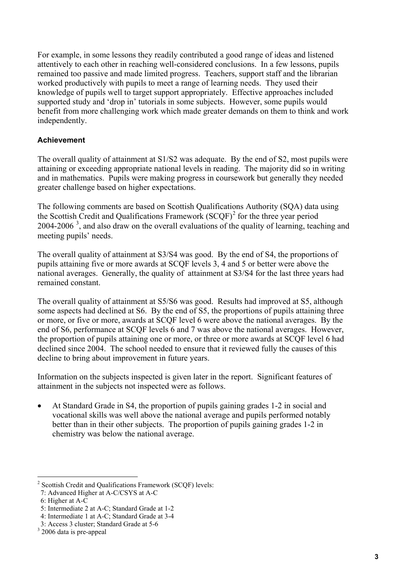<span id="page-4-0"></span>For example, in some lessons they readily contributed a good range of ideas and listened attentively to each other in reaching well-considered conclusions. In a few lessons, pupils remained too passive and made limited progress. Teachers, support staff and the librarian worked productively with pupils to meet a range of learning needs. They used their knowledge of pupils well to target support appropriately. Effective approaches included supported study and 'drop in' tutorials in some subjects. However, some pupils would benefit from more challenging work which made greater demands on them to think and work independently.

#### **Achievement**

The overall quality of attainment at S1/S2 was adequate. By the end of S2, most pupils were attaining or exceeding appropriate national levels in reading. The majority did so in writing and in mathematics. Pupils were making progress in coursework but generally they needed greater challenge based on higher expectations.

The following comments are based on Scottish Qualifications Authority (SQA) data using the Scottish Credit and Qualifications Framework  $(SCQF)^2$  $(SCQF)^2$  for the three year period 2004-2006<sup>[3](#page-4-0)</sup>, and also draw on the overall evaluations of the quality of learning, teaching and meeting pupils' needs.

The overall quality of attainment at S3/S4 was good. By the end of S4, the proportions of pupils attaining five or more awards at SCQF levels 3, 4 and 5 or better were above the national averages. Generally, the quality of attainment at S3/S4 for the last three years had remained constant.

The overall quality of attainment at S5/S6 was good. Results had improved at S5, although some aspects had declined at S6. By the end of S5, the proportions of pupils attaining three or more, or five or more, awards at SCQF level 6 were above the national averages. By the end of S6, performance at SCQF levels 6 and 7 was above the national averages. However, the proportion of pupils attaining one or more, or three or more awards at SCQF level 6 had declined since 2004. The school needed to ensure that it reviewed fully the causes of this decline to bring about improvement in future years.

Information on the subjects inspected is given later in the report. Significant features of attainment in the subjects not inspected were as follows.

• At Standard Grade in S4, the proportion of pupils gaining grades 1-2 in social and vocational skills was well above the national average and pupils performed notably better than in their other subjects. The proportion of pupils gaining grades 1-2 in chemistry was below the national average.

-

<sup>&</sup>lt;sup>2</sup> Scottish Credit and Qualifications Framework (SCQF) levels:

 <sup>7:</sup> Advanced Higher at A-C/CSYS at A-C

 <sup>6:</sup> Higher at A-C

 <sup>5:</sup> Intermediate 2 at A-C; Standard Grade at 1-2

 <sup>4:</sup> Intermediate 1 at A-C; Standard Grade at 3-4

 <sup>3:</sup> Access 3 cluster; Standard Grade at 5-6

<sup>&</sup>lt;sup>3</sup> 2006 data is pre-appeal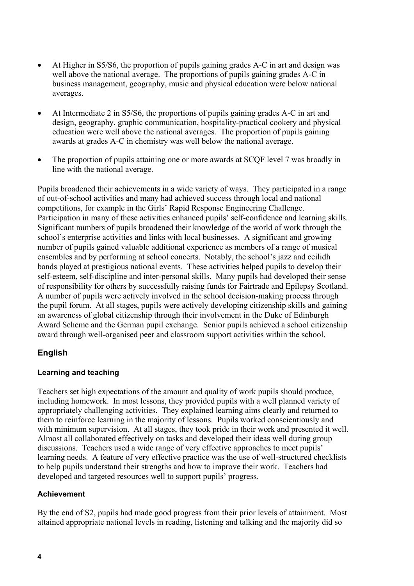- At Higher in S5/S6, the proportion of pupils gaining grades A-C in art and design was well above the national average. The proportions of pupils gaining grades A-C in business management, geography, music and physical education were below national averages.
- At Intermediate 2 in S5/S6, the proportions of pupils gaining grades A-C in art and design, geography, graphic communication, hospitality-practical cookery and physical education were well above the national averages. The proportion of pupils gaining awards at grades A-C in chemistry was well below the national average.
- The proportion of pupils attaining one or more awards at SCQF level 7 was broadly in line with the national average.

Pupils broadened their achievements in a wide variety of ways. They participated in a range of out-of-school activities and many had achieved success through local and national competitions, for example in the Girls' Rapid Response Engineering Challenge. Participation in many of these activities enhanced pupils' self-confidence and learning skills. Significant numbers of pupils broadened their knowledge of the world of work through the school's enterprise activities and links with local businesses. A significant and growing number of pupils gained valuable additional experience as members of a range of musical ensembles and by performing at school concerts. Notably, the school's jazz and ceilidh bands played at prestigious national events. These activities helped pupils to develop their self-esteem, self-discipline and inter-personal skills. Many pupils had developed their sense of responsibility for others by successfully raising funds for Fairtrade and Epilepsy Scotland. A number of pupils were actively involved in the school decision-making process through the pupil forum. At all stages, pupils were actively developing citizenship skills and gaining an awareness of global citizenship through their involvement in the Duke of Edinburgh Award Scheme and the German pupil exchange. Senior pupils achieved a school citizenship award through well-organised peer and classroom support activities within the school.

## **English**

### **Learning and teaching**

Teachers set high expectations of the amount and quality of work pupils should produce, including homework. In most lessons, they provided pupils with a well planned variety of appropriately challenging activities. They explained learning aims clearly and returned to them to reinforce learning in the majority of lessons. Pupils worked conscientiously and with minimum supervision. At all stages, they took pride in their work and presented it well. Almost all collaborated effectively on tasks and developed their ideas well during group discussions. Teachers used a wide range of very effective approaches to meet pupils' learning needs. A feature of very effective practice was the use of well-structured checklists to help pupils understand their strengths and how to improve their work. Teachers had developed and targeted resources well to support pupils' progress.

### **Achievement**

By the end of S2, pupils had made good progress from their prior levels of attainment. Most attained appropriate national levels in reading, listening and talking and the majority did so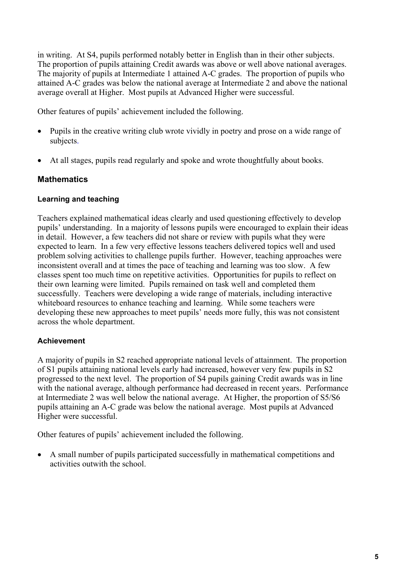in writing. At S4, pupils performed notably better in English than in their other subjects. The proportion of pupils attaining Credit awards was above or well above national averages. The majority of pupils at Intermediate 1 attained A-C grades. The proportion of pupils who attained A-C grades was below the national average at Intermediate 2 and above the national average overall at Higher. Most pupils at Advanced Higher were successful.

Other features of pupils' achievement included the following.

- Pupils in the creative writing club wrote vividly in poetry and prose on a wide range of subjects.
- At all stages, pupils read regularly and spoke and wrote thoughtfully about books.

## **Mathematics**

### **Learning and teaching**

Teachers explained mathematical ideas clearly and used questioning effectively to develop pupils' understanding. In a majority of lessons pupils were encouraged to explain their ideas in detail. However, a few teachers did not share or review with pupils what they were expected to learn. In a few very effective lessons teachers delivered topics well and used problem solving activities to challenge pupils further. However, teaching approaches were inconsistent overall and at times the pace of teaching and learning was too slow. A few classes spent too much time on repetitive activities. Opportunities for pupils to reflect on their own learning were limited. Pupils remained on task well and completed them successfully. Teachers were developing a wide range of materials, including interactive whiteboard resources to enhance teaching and learning. While some teachers were developing these new approaches to meet pupils' needs more fully, this was not consistent across the whole department.

### **Achievement**

A majority of pupils in S2 reached appropriate national levels of attainment. The proportion of S1 pupils attaining national levels early had increased, however very few pupils in S2 progressed to the next level. The proportion of S4 pupils gaining Credit awards was in line with the national average, although performance had decreased in recent years. Performance at Intermediate 2 was well below the national average. At Higher, the proportion of S5/S6 pupils attaining an A-C grade was below the national average. Most pupils at Advanced Higher were successful.

Other features of pupils' achievement included the following.

• A small number of pupils participated successfully in mathematical competitions and activities outwith the school.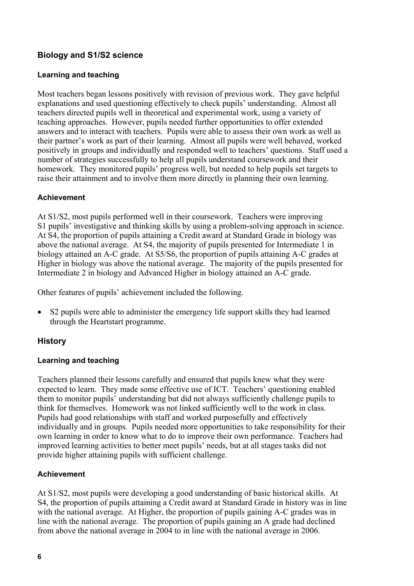## **Biology and S1/S2 science**

## **Learning and teaching**

Most teachers began lessons positively with revision of previous work. They gave helpful explanations and used questioning effectively to check pupils' understanding. Almost all teachers directed pupils well in theoretical and experimental work, using a variety of teaching approaches. However, pupils needed further opportunities to offer extended answers and to interact with teachers. Pupils were able to assess their own work as well as their partner's work as part of their learning. Almost all pupils were well behaved, worked positively in groups and individually and responded well to teachers' questions. Staff used a number of strategies successfully to help all pupils understand coursework and their homework. They monitored pupils' progress well, but needed to help pupils set targets to raise their attainment and to involve them more directly in planning their own learning.

## **Achievement**

At S1/S2, most pupils performed well in their coursework. Teachers were improving S1 pupils' investigative and thinking skills by using a problem-solving approach in science. At S4, the proportion of pupils attaining a Credit award at Standard Grade in biology was above the national average. At S4, the majority of pupils presented for Intermediate 1 in biology attained an A-C grade. At S5/S6, the proportion of pupils attaining A-C grades at Higher in biology was above the national average. The majority of the pupils presented for Intermediate 2 in biology and Advanced Higher in biology attained an A-C grade.

Other features of pupils' achievement included the following.

• S2 pupils were able to administer the emergency life support skills they had learned through the Heartstart programme.

## **History**

## **Learning and teaching**

Teachers planned their lessons carefully and ensured that pupils knew what they were expected to learn. They made some effective use of ICT. Teachers' questioning enabled them to monitor pupils' understanding but did not always sufficiently challenge pupils to think for themselves. Homework was not linked sufficiently well to the work in class. Pupils had good relationships with staff and worked purposefully and effectively individually and in groups. Pupils needed more opportunities to take responsibility for their own learning in order to know what to do to improve their own performance. Teachers had improved learning activities to better meet pupils' needs, but at all stages tasks did not provide higher attaining pupils with sufficient challenge.

### **Achievement**

At S1/S2, most pupils were developing a good understanding of basic historical skills. At S4, the proportion of pupils attaining a Credit award at Standard Grade in history was in line with the national average. At Higher, the proportion of pupils gaining A-C grades was in line with the national average. The proportion of pupils gaining an A grade had declined from above the national average in 2004 to in line with the national average in 2006.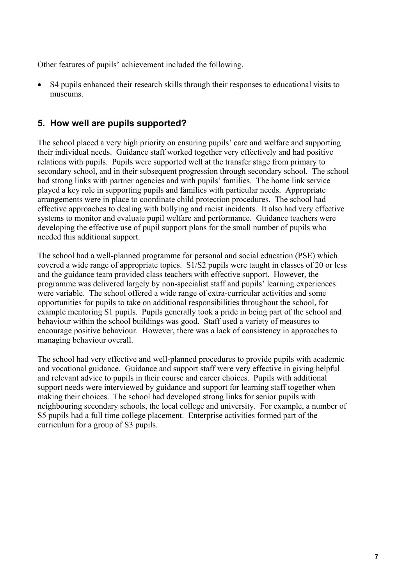Other features of pupils' achievement included the following.

• S4 pupils enhanced their research skills through their responses to educational visits to museums.

## **5. How well are pupils supported?**

The school placed a very high priority on ensuring pupils' care and welfare and supporting their individual needs. Guidance staff worked together very effectively and had positive relations with pupils. Pupils were supported well at the transfer stage from primary to secondary school, and in their subsequent progression through secondary school. The school had strong links with partner agencies and with pupils' families. The home link service played a key role in supporting pupils and families with particular needs. Appropriate arrangements were in place to coordinate child protection procedures. The school had effective approaches to dealing with bullying and racist incidents. It also had very effective systems to monitor and evaluate pupil welfare and performance. Guidance teachers were developing the effective use of pupil support plans for the small number of pupils who needed this additional support.

The school had a well-planned programme for personal and social education (PSE) which covered a wide range of appropriate topics. S1/S2 pupils were taught in classes of 20 or less and the guidance team provided class teachers with effective support. However, the programme was delivered largely by non-specialist staff and pupils' learning experiences were variable. The school offered a wide range of extra-curricular activities and some opportunities for pupils to take on additional responsibilities throughout the school, for example mentoring S1 pupils. Pupils generally took a pride in being part of the school and behaviour within the school buildings was good. Staff used a variety of measures to encourage positive behaviour. However, there was a lack of consistency in approaches to managing behaviour overall.

The school had very effective and well-planned procedures to provide pupils with academic and vocational guidance. Guidance and support staff were very effective in giving helpful and relevant advice to pupils in their course and career choices. Pupils with additional support needs were interviewed by guidance and support for learning staff together when making their choices. The school had developed strong links for senior pupils with neighbouring secondary schools, the local college and university. For example, a number of S5 pupils had a full time college placement. Enterprise activities formed part of the curriculum for a group of S3 pupils.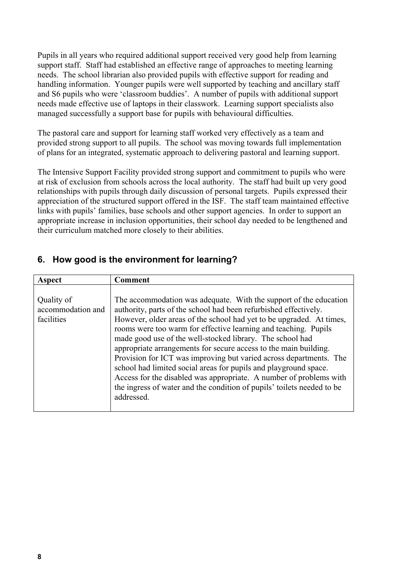Pupils in all years who required additional support received very good help from learning support staff. Staff had established an effective range of approaches to meeting learning needs. The school librarian also provided pupils with effective support for reading and handling information. Younger pupils were well supported by teaching and ancillary staff and S6 pupils who were 'classroom buddies'. A number of pupils with additional support needs made effective use of laptops in their classwork. Learning support specialists also managed successfully a support base for pupils with behavioural difficulties.

The pastoral care and support for learning staff worked very effectively as a team and provided strong support to all pupils. The school was moving towards full implementation of plans for an integrated, systematic approach to delivering pastoral and learning support.

The Intensive Support Facility provided strong support and commitment to pupils who were at risk of exclusion from schools across the local authority. The staff had built up very good relationships with pupils through daily discussion of personal targets. Pupils expressed their appreciation of the structured support offered in the ISF. The staff team maintained effective links with pupils' families, base schools and other support agencies. In order to support an appropriate increase in inclusion opportunities, their school day needed to be lengthened and their curriculum matched more closely to their abilities.

# **6. How good is the environment for learning?**

| Aspect                                        | Comment                                                                                                                                                                                                                                                                                                                                                                                                                                                                                                                                                                                                                                                                                                                   |
|-----------------------------------------------|---------------------------------------------------------------------------------------------------------------------------------------------------------------------------------------------------------------------------------------------------------------------------------------------------------------------------------------------------------------------------------------------------------------------------------------------------------------------------------------------------------------------------------------------------------------------------------------------------------------------------------------------------------------------------------------------------------------------------|
| Quality of<br>accommodation and<br>facilities | The accommodation was adequate. With the support of the education<br>authority, parts of the school had been refurbished effectively.<br>However, older areas of the school had yet to be upgraded. At times,<br>rooms were too warm for effective learning and teaching. Pupils<br>made good use of the well-stocked library. The school had<br>appropriate arrangements for secure access to the main building.<br>Provision for ICT was improving but varied across departments. The<br>school had limited social areas for pupils and playground space.<br>Access for the disabled was appropriate. A number of problems with<br>the ingress of water and the condition of pupils' toilets needed to be<br>addressed. |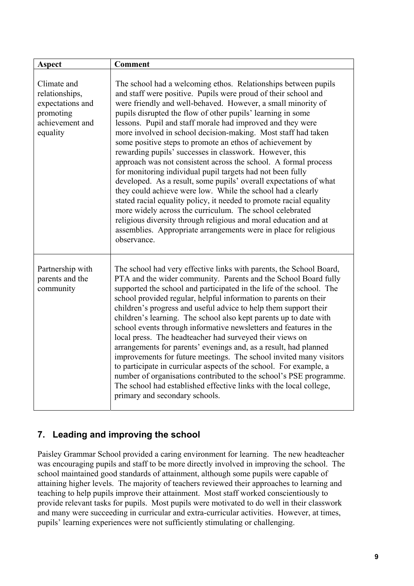| <b>Aspect</b>                                                                                 | <b>Comment</b>                                                                                                                                                                                                                                                                                                                                                                                                                                                                                                                                                                                                                                                                                                                                                                                                                                                                                                                                                                                                                                                                        |
|-----------------------------------------------------------------------------------------------|---------------------------------------------------------------------------------------------------------------------------------------------------------------------------------------------------------------------------------------------------------------------------------------------------------------------------------------------------------------------------------------------------------------------------------------------------------------------------------------------------------------------------------------------------------------------------------------------------------------------------------------------------------------------------------------------------------------------------------------------------------------------------------------------------------------------------------------------------------------------------------------------------------------------------------------------------------------------------------------------------------------------------------------------------------------------------------------|
| Climate and<br>relationships,<br>expectations and<br>promoting<br>achievement and<br>equality | The school had a welcoming ethos. Relationships between pupils<br>and staff were positive. Pupils were proud of their school and<br>were friendly and well-behaved. However, a small minority of<br>pupils disrupted the flow of other pupils' learning in some<br>lessons. Pupil and staff morale had improved and they were<br>more involved in school decision-making. Most staff had taken<br>some positive steps to promote an ethos of achievement by<br>rewarding pupils' successes in classwork. However, this<br>approach was not consistent across the school. A formal process<br>for monitoring individual pupil targets had not been fully<br>developed. As a result, some pupils' overall expectations of what<br>they could achieve were low. While the school had a clearly<br>stated racial equality policy, it needed to promote racial equality<br>more widely across the curriculum. The school celebrated<br>religious diversity through religious and moral education and at<br>assemblies. Appropriate arrangements were in place for religious<br>observance. |
| Partnership with<br>parents and the<br>community                                              | The school had very effective links with parents, the School Board,<br>PTA and the wider community. Parents and the School Board fully<br>supported the school and participated in the life of the school. The<br>school provided regular, helpful information to parents on their<br>children's progress and useful advice to help them support their<br>children's learning. The school also kept parents up to date with<br>school events through informative newsletters and features in the<br>local press. The headteacher had surveyed their views on<br>arrangements for parents' evenings and, as a result, had planned<br>improvements for future meetings. The school invited many visitors<br>to participate in curricular aspects of the school. For example, a<br>number of organisations contributed to the school's PSE programme.<br>The school had established effective links with the local college,<br>primary and secondary schools.                                                                                                                            |

# **7. Leading and improving the school**

Paisley Grammar School provided a caring environment for learning. The new headteacher was encouraging pupils and staff to be more directly involved in improving the school. The school maintained good standards of attainment, although some pupils were capable of attaining higher levels. The majority of teachers reviewed their approaches to learning and teaching to help pupils improve their attainment. Most staff worked conscientiously to provide relevant tasks for pupils. Most pupils were motivated to do well in their classwork and many were succeeding in curricular and extra-curricular activities. However, at times, pupils' learning experiences were not sufficiently stimulating or challenging.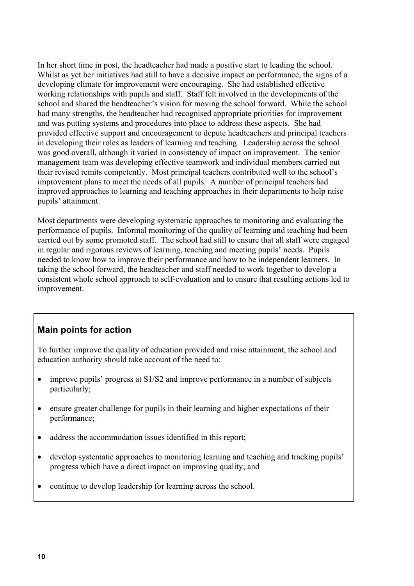In her short time in post, the headteacher had made a positive start to leading the school. Whilst as yet her initiatives had still to have a decisive impact on performance, the signs of a developing climate for improvement were encouraging. She had established effective working relationships with pupils and staff. Staff felt involved in the developments of the school and shared the headteacher's vision for moving the school forward. While the school had many strengths, the headteacher had recognised appropriate priorities for improvement and was putting systems and procedures into place to address these aspects. She had provided effective support and encouragement to depute headteachers and principal teachers in developing their roles as leaders of learning and teaching. Leadership across the school was good overall, although it varied in consistency of impact on improvement. The senior management team was developing effective teamwork and individual members carried out their revised remits competently. Most principal teachers contributed well to the school's improvement plans to meet the needs of all pupils. A number of principal teachers had improved approaches to learning and teaching approaches in their departments to help raise pupils' attainment.

Most departments were developing systematic approaches to monitoring and evaluating the performance of pupils. Informal monitoring of the quality of learning and teaching had been carried out by some promoted staff. The school had still to ensure that all staff were engaged in regular and rigorous reviews of learning, teaching and meeting pupils' needs. Pupils needed to know how to improve their performance and how to be independent learners. In taking the school forward, the headteacher and staff needed to work together to develop a consistent whole school approach to self-evaluation and to ensure that resulting actions led to improvement.

# **Main points for action**

To further improve the quality of education provided and raise attainment, the school and education authority should take account of the need to:

- improve pupils' progress at S1/S2 and improve performance in a number of subjects particularly;
- ensure greater challenge for pupils in their learning and higher expectations of their performance;
- address the accommodation issues identified in this report;
- develop systematic approaches to monitoring learning and teaching and tracking pupils' progress which have a direct impact on improving quality; and
- continue to develop leadership for learning across the school.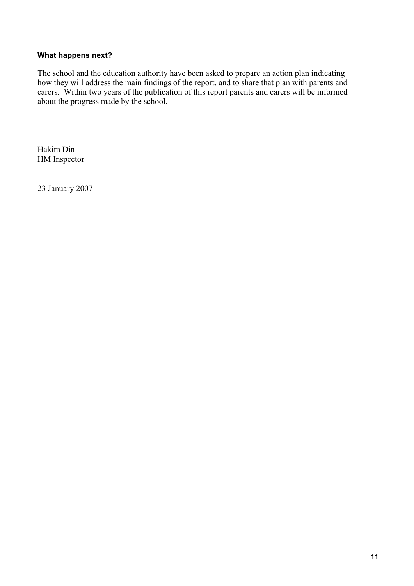#### **What happens next?**

The school and the education authority have been asked to prepare an action plan indicating how they will address the main findings of the report, and to share that plan with parents and carers. Within two years of the publication of this report parents and carers will be informed about the progress made by the school.

Hakim Din HM Inspector

23 January 2007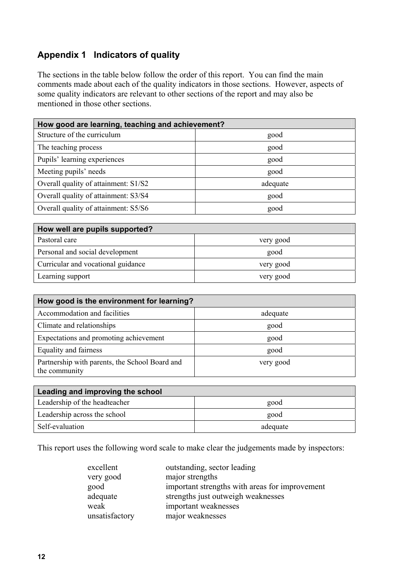# **Appendix 1 Indicators of quality**

The sections in the table below follow the order of this report. You can find the main comments made about each of the quality indicators in those sections. However, aspects of some quality indicators are relevant to other sections of the report and may also be mentioned in those other sections.

| How good are learning, teaching and achievement? |          |  |  |
|--------------------------------------------------|----------|--|--|
| Structure of the curriculum                      | good     |  |  |
| The teaching process                             | good     |  |  |
| Pupils' learning experiences                     | good     |  |  |
| Meeting pupils' needs                            | good     |  |  |
| Overall quality of attainment: S1/S2             | adequate |  |  |
| Overall quality of attainment: S3/S4             | good     |  |  |
| Overall quality of attainment: S5/S6             | good     |  |  |

| How well are pupils supported?     |           |
|------------------------------------|-----------|
| Pastoral care                      | very good |
| Personal and social development    | good      |
| Curricular and vocational guidance | very good |
| Learning support                   | very good |

| How good is the environment for learning?                       |           |  |  |
|-----------------------------------------------------------------|-----------|--|--|
| Accommodation and facilities                                    | adequate  |  |  |
| Climate and relationships                                       | good      |  |  |
| Expectations and promoting achievement                          | good      |  |  |
| Equality and fairness                                           | good      |  |  |
| Partnership with parents, the School Board and<br>the community | very good |  |  |

| Leading and improving the school |          |  |
|----------------------------------|----------|--|
| Leadership of the headteacher    | good     |  |
| Leadership across the school     | good     |  |
| Self-evaluation                  | adequate |  |

This report uses the following word scale to make clear the judgements made by inspectors:

| outstanding, sector leading                    |
|------------------------------------------------|
| major strengths                                |
| important strengths with areas for improvement |
| strengths just outweigh weaknesses             |
| important weaknesses                           |
| major weaknesses                               |
|                                                |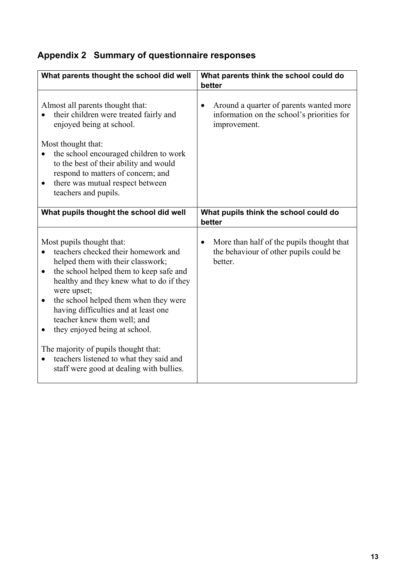# **Appendix 2 Summary of questionnaire responses**

| What parents thought the school did well                                                                                                                                                                                                                                                                                                                                                                                                                                                                                           | What parents think the school could do<br>better                                                            |
|------------------------------------------------------------------------------------------------------------------------------------------------------------------------------------------------------------------------------------------------------------------------------------------------------------------------------------------------------------------------------------------------------------------------------------------------------------------------------------------------------------------------------------|-------------------------------------------------------------------------------------------------------------|
| Almost all parents thought that:<br>their children were treated fairly and<br>enjoyed being at school.<br>Most thought that:<br>the school encouraged children to work<br>to the best of their ability and would<br>respond to matters of concern; and<br>there was mutual respect between<br>teachers and pupils.                                                                                                                                                                                                                 | Around a quarter of parents wanted more<br>٠<br>information on the school's priorities for<br>improvement.  |
| What pupils thought the school did well                                                                                                                                                                                                                                                                                                                                                                                                                                                                                            | What pupils think the school could do<br>better                                                             |
| Most pupils thought that:<br>teachers checked their homework and<br>helped them with their classwork;<br>the school helped them to keep safe and<br>$\bullet$<br>healthy and they knew what to do if they<br>were upset;<br>the school helped them when they were<br>$\bullet$<br>having difficulties and at least one<br>teacher knew them well; and<br>they enjoyed being at school.<br>The majority of pupils thought that:<br>teachers listened to what they said and<br>$\bullet$<br>staff were good at dealing with bullies. | More than half of the pupils thought that<br>$\bullet$<br>the behaviour of other pupils could be<br>better. |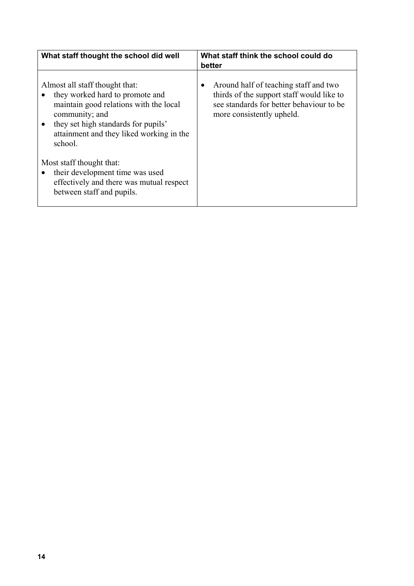| What staff thought the school did well                                                                                                                                                                                                   | What staff think the school could do<br>better                                                                                                                           |  |  |
|------------------------------------------------------------------------------------------------------------------------------------------------------------------------------------------------------------------------------------------|--------------------------------------------------------------------------------------------------------------------------------------------------------------------------|--|--|
| Almost all staff thought that:<br>they worked hard to promote and<br>maintain good relations with the local<br>community; and<br>they set high standards for pupils'<br>$\bullet$<br>attainment and they liked working in the<br>school. | Around half of teaching staff and two<br>$\bullet$<br>thirds of the support staff would like to<br>see standards for better behaviour to be<br>more consistently upheld. |  |  |
| Most staff thought that:<br>their development time was used<br>$\bullet$<br>effectively and there was mutual respect<br>between staff and pupils.                                                                                        |                                                                                                                                                                          |  |  |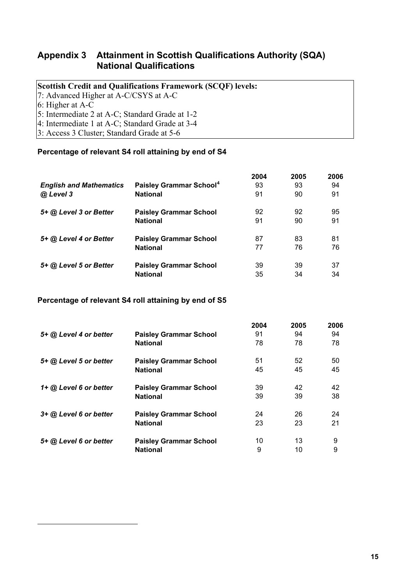## <span id="page-16-0"></span>**Appendix 3 Attainment in Scottish Qualifications Authority (SQA) National Qualifications**

## **Scottish Credit and Qualifications Framework (SCQF) levels:**

7: Advanced Higher at A-C/CSYS at A-C

6: Higher at A-C

-

5: Intermediate 2 at A-C; Standard Grade at 1-2

4: Intermediate 1 at A-C; Standard Grade at 3-4

3: Access 3 Cluster; Standard Grade at 5-6

#### **Percentage of relevant S4 roll attaining by end of S4**

|                                |                                     | 2004 | 2005 | 2006 |
|--------------------------------|-------------------------------------|------|------|------|
| <b>English and Mathematics</b> | Paisley Grammar School <sup>4</sup> | 93   | 93   | 94   |
| @ Level 3                      | <b>National</b>                     | 91   | 90   | 91   |
| 5+ @ Level 3 or Better         | <b>Paisley Grammar School</b>       | 92   | 92   | 95   |
|                                | <b>National</b>                     | 91   | 90   | 91   |
| 5+ @ Level 4 or Better         | <b>Paisley Grammar School</b>       | 87   | 83   | 81   |
|                                | <b>National</b>                     | 77   | 76   | 76   |
| 5+ @ Level 5 or Better         | <b>Paisley Grammar School</b>       | 39   | 39   | 37   |
|                                | <b>National</b>                     | 35   | 34   | 34   |

## **Percentage of relevant S4 roll attaining by end of S5**

|                          |                               | 2004 | 2005 | 2006 |
|--------------------------|-------------------------------|------|------|------|
| 5+ @ Level 4 or better   | <b>Paisley Grammar School</b> | 91   | 94   | 94   |
|                          | <b>National</b>               | 78   | 78   | 78   |
| 5+ @ Level 5 or better   | <b>Paisley Grammar School</b> | 51   | 52   | 50   |
|                          | <b>National</b>               | 45   | 45   | 45   |
| $1+$ @ Level 6 or better | <b>Paisley Grammar School</b> | 39   | 42   | 42   |
|                          | <b>National</b>               | 39   | 39   | 38   |
| 3+ @ Level 6 or better   | <b>Paisley Grammar School</b> | 24   | 26   | 24   |
|                          | <b>National</b>               | 23   | 23   | 21   |
| 5+ @ Level 6 or better   | <b>Paisley Grammar School</b> | 10   | 13   | 9    |
|                          | <b>National</b>               | 9    | 10   | 9    |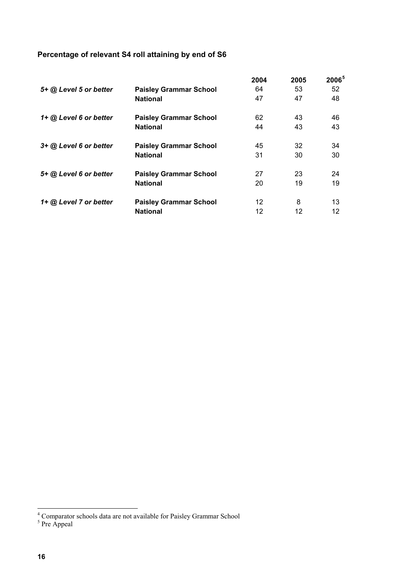# <span id="page-17-0"></span>**Percentage of relevant S4 roll attaining by end of S6**

|                        |                               | 2004 | 2005 | 2006 <sup>5</sup> |
|------------------------|-------------------------------|------|------|-------------------|
| 5+ @ Level 5 or better | <b>Paisley Grammar School</b> | 64   | 53   | 52                |
|                        | <b>National</b>               | 47   | 47   | 48                |
| 1+ @ Level 6 or better | <b>Paisley Grammar School</b> | 62   | 43   | 46                |
|                        | <b>National</b>               | 44   | 43   | 43                |
| 3+ @ Level 6 or better | <b>Paisley Grammar School</b> | 45   | 32   | 34                |
|                        | <b>National</b>               | 31   | 30   | 30                |
| 5+ @ Level 6 or better | <b>Paisley Grammar School</b> | 27   | 23   | 24                |
|                        | <b>National</b>               | 20   | 19   | 19                |
| 1+ @ Level 7 or better | <b>Paisley Grammar School</b> | 12   | 8    | 13                |
|                        | <b>National</b>               | 12   | 12   | 12                |

 4 Comparator schools data are not available for Paisley Grammar School 5 Pre Appeal